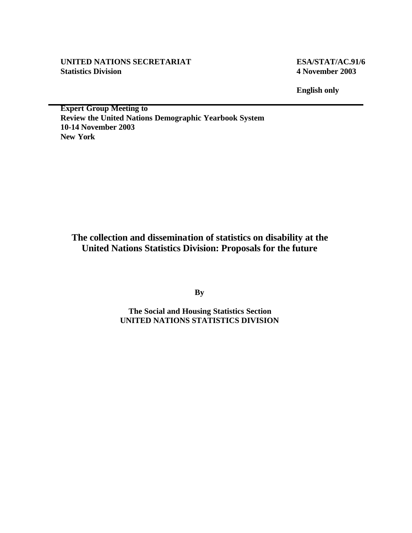#### **UNITED NATIONS SECRETARIAT ESA/STAT/AC.91/6 Statistics Division 4 November 2003**

**English only**

**Expert Group Meeting to Review the United Nations Demographic Yearbook System 10-14 November 2003 New York**

**The collection and dissemination of statistics on disability at the United Nations Statistics Division: Proposals for the future**

**By**

**The Social and Housing Statistics Section UNITED NATIONS STATISTICS DIVISION**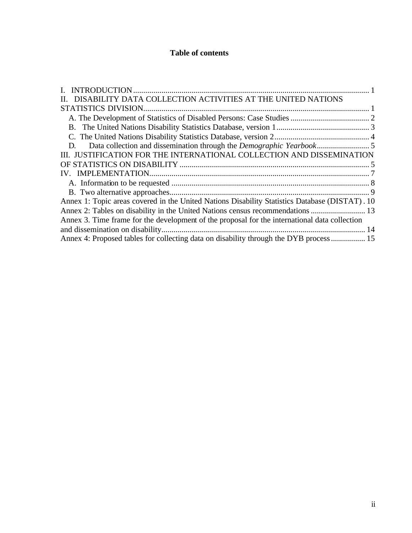### **Table of contents**

| DISABILITY DATA COLLECTION ACTIVITIES AT THE UNITED NATIONS                                    |  |
|------------------------------------------------------------------------------------------------|--|
|                                                                                                |  |
|                                                                                                |  |
|                                                                                                |  |
|                                                                                                |  |
| D.                                                                                             |  |
| III. JUSTIFICATION FOR THE INTERNATIONAL COLLECTION AND DISSEMINATION                          |  |
|                                                                                                |  |
|                                                                                                |  |
|                                                                                                |  |
|                                                                                                |  |
| Annex 1: Topic areas covered in the United Nations Disability Statistics Database (DISTAT). 10 |  |
| Annex 2: Tables on disability in the United Nations census recommendations  13                 |  |
| Annex 3. Time frame for the development of the proposal for the international data collection  |  |
|                                                                                                |  |
| Annex 4: Proposed tables for collecting data on disability through the DYB process  15         |  |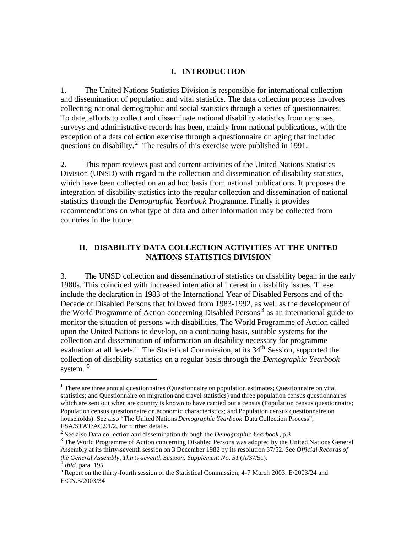#### **I. INTRODUCTION**

1. The United Nations Statistics Division is responsible for international collection and dissemination of population and vital statistics. The data collection process involves collecting national demographic and social statistics through a series of questionnaires.<sup>1</sup> To date, efforts to collect and disseminate national disability statistics from censuses, surveys and administrative records has been, mainly from national publications, with the exception of a data collection exercise through a questionnaire on aging that included questions on disability.<sup>2</sup> The results of this exercise were published in 1991.

2. This report reviews past and current activities of the United Nations Statistics Division (UNSD) with regard to the collection and dissemination of disability statistics, which have been collected on an ad hoc basis from national publications. It proposes the integration of disability statistics into the regular collection and dissemination of national statistics through the *Demographic Yearbook* Programme. Finally it provides recommendations on what type of data and other information may be collected from countries in the future.

#### **II. DISABILITY DATA COLLECTION ACTIVITIES AT THE UNITED NATIONS STATISTICS DIVISION**

3. The UNSD collection and dissemination of statistics on disability began in the early 1980s. This coincided with increased international interest in disability issues. These include the declaration in 1983 of the International Year of Disabled Persons and of the Decade of Disabled Persons that followed from 1983-1992, as well as the development of the World Programme of Action concerning Disabled Persons<sup>3</sup> as an international guide to monitor the situation of persons with disabilities. The World Programme of Action called upon the United Nations to develop, on a continuing basis, suitable systems for the collection and dissemination of information on disability necessary for programme evaluation at all levels.<sup>4</sup> The Statistical Commission, at its 34<sup>th</sup> Session, supported the collection of disability statistics on a regular basis through the *Demographic Yearbook* system.<sup>5</sup>

 $\overline{a}$ 

<sup>&</sup>lt;sup>1</sup> There are three annual questionnaires (Questionnaire on population estimates; Questionnaire on vital statistics; and Questionnaire on migration and travel statistics) and three population census questionnaires which are sent out when are country is known to have carried out a census (Population census questionnaire; Population census questionnaire on economic characteristics; and Population census questionnaire on households). See also "The United Nations *Demographic Yearbook* Data Collection Process", ESA/STAT/AC.91/2, for further details.

<sup>2</sup> See also Data collection and dissemination through the *Demographic Yearbook* , p.8

<sup>&</sup>lt;sup>3</sup> The World Programme of Action concerning Disabled Persons was adopted by the United Nations General Assembly at its thirty-seventh session on 3 December 1982 by its resolution 37/52. See *Official Records of the General Assembly, Thirty-seventh Session. Supplement No. 51* (A/37/51). 4 *Ibid.* para. 195.

<sup>&</sup>lt;sup>5</sup> Report on the thirty-fourth session of the Statistical Commission, 4-7 March 2003. E/2003/24 and E/CN.3/2003/34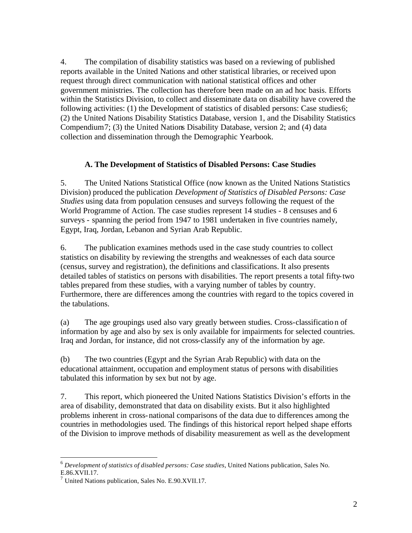4. The compilation of disability statistics was based on a reviewing of published reports available in the United Nations and other statistical libraries, or received upon request through direct communication with national statistical offices and other government ministries. The collection has therefore been made on an ad hoc basis. Efforts within the Statistics Division, to collect and disseminate data on disability have covered the following activities: (1) the Development of statistics of disabled persons: Case studies 6; (2) the United Nations Disability Statistics Database, version 1, and the Disability Statistics Compendium7; (3) the United Nations Disability Database, version 2; and (4) data collection and dissemination through the Demographic Yearbook.

#### **A. The Development of Statistics of Disabled Persons: Case Studies**

5. The United Nations Statistical Office (now known as the United Nations Statistics Division) produced the publication *Development of Statistics of Disabled Persons: Case Studies* using data from population censuses and surveys following the request of the World Programme of Action. The case studies represent 14 studies - 8 censuses and 6 surveys - spanning the period from 1947 to 1981 undertaken in five countries namely, Egypt, Iraq, Jordan, Lebanon and Syrian Arab Republic.

6. The publication examines methods used in the case study countries to collect statistics on disability by reviewing the strengths and weaknesses of each data source (census, survey and registration), the definitions and classifications. It also presents detailed tables of statistics on persons with disabilities. The report presents a total fifty-two tables prepared from these studies, with a varying number of tables by country. Furthermore, there are differences among the countries with regard to the topics covered in the tabulations.

(a) The age groupings used also vary greatly between studies. Cross-classification of information by age and also by sex is only available for impairments for selected countries. Iraq and Jordan, for instance, did not cross-classify any of the information by age.

(b) The two countries (Egypt and the Syrian Arab Republic) with data on the educational attainment, occupation and employment status of persons with disabilities tabulated this information by sex but not by age.

7. This report, which pioneered the United Nations Statistics Division's efforts in the area of disability, demonstrated that data on disability exists. But it also highlighted problems inherent in cross-national comparisons of the data due to differences among the countries in methodologies used. The findings of this historical report helped shape efforts of the Division to improve methods of disability measurement as well as the development

 $\overline{a}$ <sup>6</sup> *Development of statistics of disabled persons: Case studies*, United Nations publication, Sales No. E.86.XVII.17.

<sup>&</sup>lt;sup>7</sup> United Nations publication, Sales No. E.90.XVII.17.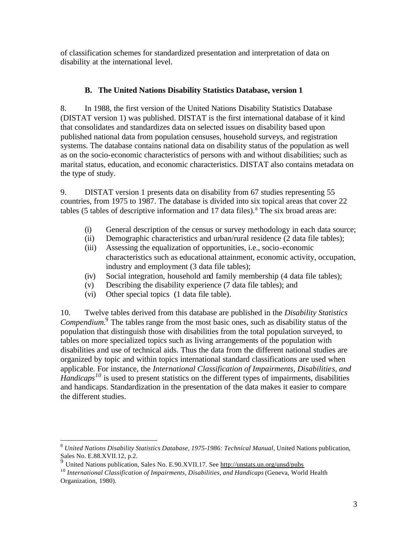of classification schemes for standardized presentation and interpretation of data on disability at the international level.

## **B. The United Nations Disability Statistics Database, version 1**

8. In 1988, the first version of the United Nations Disability Statistics Database (DISTAT version 1) was published. DISTAT is the first international database of it kind that consolidates and standardizes data on selected issues on disability based upon published national data from population censuses, household surveys, and registration systems. The database contains national data on disability status of the population as well as on the socio-economic characteristics of persons with and without disabilities; such as marital status, education, and economic characteristics. DISTAT also contains metadata on the type of study.

9. DISTAT version 1 presents data on disability from 67 studies representing 55 countries, from 1975 to 1987. The database is divided into six topical areas that cover 22 tables (5 tables of descriptive information and  $17$  data files).<sup>8</sup> The six broad areas are:

- (i) General description of the census or survey methodology in each data source;
- (ii) Demographic characteristics and urban/rural residence (2 data file tables);
- (iii) Assessing the equalization of opportunities, i.e., socio-economic characteristics such as educational attainment, economic activity, occupation, industry and employment (3 data file tables);
- (iv) Social integration, household and family membership (4 data file tables);
- (v) Describing the disability experience (7 data file tables); and
- (vi) Other special topics (1 data file table).

 $\overline{a}$ 

10. Twelve tables derived from this database are published in the *Disability Statistics Compendium.*<sup>9</sup> The tables range from the most basic ones, such as disability status of the population that distinguish those with disabilities from the total population surveyed, to tables on more specialized topics such as living arrangements of the population with disabilities and use of technical aids. Thus the data from the different national studies are organized by topic and within topics international standard classifications are used when applicable. For instance, the *International Classification of Impairments, Disabilities, and Handicaps<sup>10</sup>* is used to present statistics on the different types of impairments, disabilities and handicaps. Standardization in the presentation of the data makes it easier to compare the different studies.

<sup>8</sup> *United Nations Disability Statistics Database, 1975-1986: Technical Manual*, United Nations publication, Sales No. E.88.XVII.12, p.2.

<sup>&</sup>lt;sup>9</sup> United Nations publication, Sales No. E.90.XVII.17. See http://unstats.un.org/unsd/pubs

<sup>&</sup>lt;sup>10</sup> International Classification of Impairments, Disabilities, and Handicaps (Geneva, World Health Organization, 1980).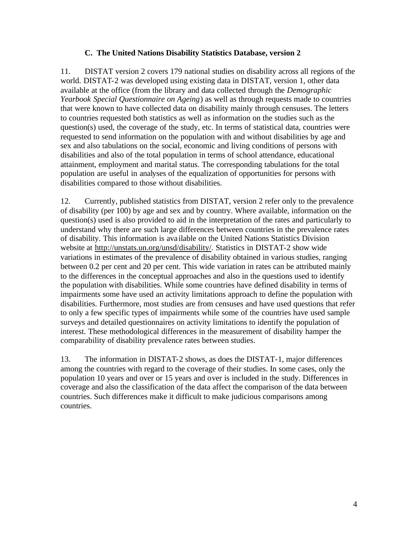#### **C. The United Nations Disability Statistics Database, version 2**

11. DISTAT version 2 covers 179 national studies on disability across all regions of the world. DISTAT-2 was developed using existing data in DISTAT, version 1, other data available at the office (from the library and data collected through the *Demographic Yearbook Special Questionnaire on Ageing*) as well as through requests made to countries that were known to have collected data on disability mainly through censuses. The letters to countries requested both statistics as well as information on the studies such as the question(s) used, the coverage of the study, etc. In terms of statistical data, countries were requested to send information on the population with and without disabilities by age and sex and also tabulations on the social, economic and living conditions of persons with disabilities and also of the total population in terms of school attendance, educational attainment, employment and marital status. The corresponding tabulations for the total population are useful in analyses of the equalization of opportunities for persons with disabilities compared to those without disabilities.

12. Currently, published statistics from DISTAT, version 2 refer only to the prevalence of disability (per 100) by age and sex and by country. Where available, information on the question(s) used is also provided to aid in the interpretation of the rates and particularly to understand why there are such large differences between countries in the prevalence rates of disability. This information is ava ilable on the United Nations Statistics Division website at http://unstats.un.org/unsd/disability/. Statistics in DISTAT-2 show wide variations in estimates of the prevalence of disability obtained in various studies, ranging between 0.2 per cent and 20 per cent. This wide variation in rates can be attributed mainly to the differences in the conceptual approaches and also in the questions used to identify the population with disabilities. While some countries have defined disability in terms of impairments some have used an activity limitations approach to define the population with disabilities. Furthermore, most studies are from censuses and have used questions that refer to only a few specific types of impairments while some of the countries have used sample surveys and detailed questionnaires on activity limitations to identify the population of interest. These methodological differences in the measurement of disability hamper the comparability of disability prevalence rates between studies.

13. The information in DISTAT-2 shows, as does the DISTAT-1, major differences among the countries with regard to the coverage of their studies. In some cases, only the population 10 years and over or 15 years and over is included in the study. Differences in coverage and also the classification of the data affect the comparison of the data between countries. Such differences make it difficult to make judicious comparisons among countries.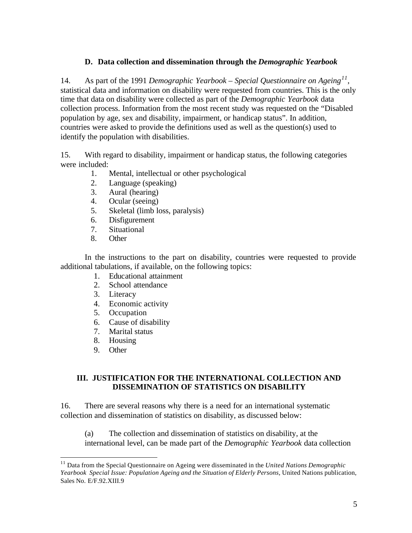#### **D. Data collection and dissemination through the** *Demographic Yearbook*

14. As part of the 1991 *Demographic Yearbook – Special Questionnaire on Ageing<sup>11</sup>* , statistical data and information on disability were requested from countries. This is the only time that data on disability were collected as part of the *Demographic Yearbook* data collection process. Information from the most recent study was requested on the "Disabled population by age, sex and disability, impairment, or handicap status". In addition, countries were asked to provide the definitions used as well as the question(s) used to identify the population with disabilities.

15. With regard to disability, impairment or handicap status, the following categories were included:

- 1. Mental, intellectual or other psychological
- 2. Language (speaking)
- 3. Aural (hearing)
- 4. Ocular (seeing)
- 5. Skeletal (limb loss, paralysis)
- 6. Disfigurement
- 7. Situational
- 8. Other

In the instructions to the part on disability, countries were requested to provide additional tabulations, if available, on the following topics:

- 1. Educational attainment
- 2. School attendance
- 3. Literacy
- 4. Economic activity
- 5. Occupation
- 6. Cause of disability
- 7. Marital status
- 8. Housing
- 9. Other

 $\overline{a}$ 

#### **III. JUSTIFICATION FOR THE INTERNATIONAL COLLECTION AND DISSEMINATION OF STATISTICS ON DISABILITY**

16. There are several reasons why there is a need for an international systematic collection and dissemination of statistics on disability, as discussed below:

(a) The collection and dissemination of statistics on disability, at the international level, can be made part of the *Demographic Yearbook* data collection

<sup>11</sup> Data from the Special Questionnaire on Ageing were disseminated in the *United Nations Demographic*  Yearbook Special Issue: Population Ageing and the Situation of Elderly Persons, United Nations publication, Sales No. E/F.92.XIII.9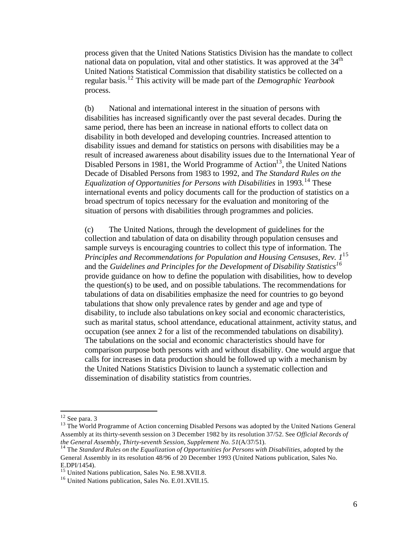process given that the United Nations Statistics Division has the mandate to collect national data on population, vital and other statistics. It was approved at the  $34<sup>th</sup>$ United Nations Statistical Commission that disability statistics be collected on a regular basis.<sup>12</sup> This activity will be made part of the *Demographic Yearbook* process.

(b) National and international interest in the situation of persons with disabilities has increased significantly over the past several decades. During the same period, there has been an increase in national efforts to collect data on disability in both developed and developing countries. Increased attention to disability issues and demand for statistics on persons with disabilities may be a result of increased awareness about disability issues due to the International Year of Disabled Persons in 1981, the World Programme of  $Action<sup>13</sup>$ , the United Nations Decade of Disabled Persons from 1983 to 1992, and *The Standard Rules on the Equalization of Opportunities for Persons with Disabilities* in 1993.<sup>14</sup> These international events and policy documents call for the production of statistics on a broad spectrum of topics necessary for the evaluation and monitoring of the situation of persons with disabilities through programmes and policies.

(c) The United Nations, through the development of guidelines for the collection and tabulation of data on disability through population censuses and sample surveys is encouraging countries to collect this type of information. The *Principles and Recommendations for Population and Housing Censuses, Rev. 1*<sup>15</sup> and the *Guidelines and Principles for the Development of Disability Statistics<sup>16</sup>* provide guidance on how to define the population with disabilities, how to develop the question(s) to be used, and on possible tabulations. The recommendations for tabulations of data on disabilities emphasize the need for countries to go beyond tabulations that show only prevalence rates by gender and age and type of disability, to include also tabulations on key social and economic characteristics, such as marital status, school attendance, educational attainment, activity status, and occupation (see annex 2 for a list of the recommended tabulations on disability). The tabulations on the social and economic characteristics should have for comparison purpose both persons with and without disability. One would argue that calls for increases in data production should be followed up with a mechanism by the United Nations Statistics Division to launch a systematic collection and dissemination of disability statistics from countries.

 $\overline{a}$ 

 $12$  See para. 3

<sup>&</sup>lt;sup>13</sup> The World Programme of Action concerning Disabled Persons was adopted by the United Nations General Assembly at its thirty-seventh session on 3 December 1982 by its resolution 37/52. See *Official Records of the General Assembly, Thirty-seventh Session, Supplement No. 51*(A/37/51).

<sup>14</sup> The *Standard Rules on the Equalization of Opportunities for Persons with Disabilities*, adopted by the General Assembly in its resolution 48/96 of 20 December 1993 (United Nations publication, Sales No. E.DPI/1454).

<sup>&</sup>lt;sup>15</sup> United Nations publication, Sales No. E.98.XVII.8.

<sup>&</sup>lt;sup>16</sup> United Nations publication, Sales No. E.01.XVII.15.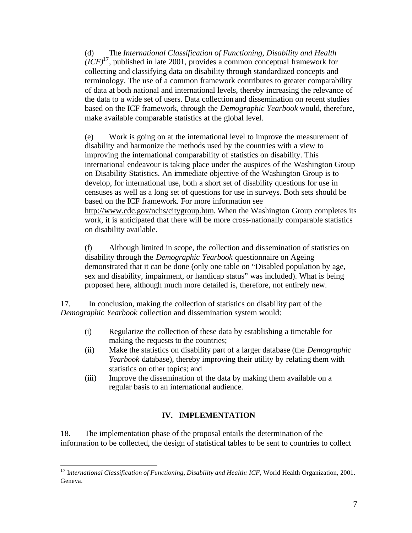(d) The *International Classification of Functioning, Disability and Health*   $(*ICF*)<sup>17</sup>$ , published in late 2001, provides a common conceptual framework for collecting and classifying data on disability through standardized concepts and terminology. The use of a common framework contributes to greater comparability of data at both national and international levels, thereby increasing the relevance of the data to a wide set of users. Data collection and dissemination on recent studies based on the ICF framework, through the *Demographic Yearbook* would, therefore, make available comparable statistics at the global level.

(e) Work is going on at the international level to improve the measurement of disability and harmonize the methods used by the countries with a view to improving the international comparability of statistics on disability. This international endeavour is taking place under the auspices of the Washington Group on Disability Statistics. An immediate objective of the Washington Group is to develop, for international use, both a short set of disability questions for use in censuses as well as a long set of questions for use in surveys. Both sets should be based on the ICF framework. For more information see http://www.cdc.gov/nchs/citygroup.htm. When the Washington Group completes its work, it is anticipated that there will be more cross-nationally comparable statistics on disability available.

(f) Although limited in scope, the collection and dissemination of statistics on disability through the *Demographic Yearbook* questionnaire on Ageing demonstrated that it can be done (only one table on "Disabled population by age, sex and disability, impairment, or handicap status" was included). What is being proposed here, although much more detailed is, therefore, not entirely new.

17. In conclusion, making the collection of statistics on disability part of the *Demographic Yearbook* collection and dissemination system would:

- (i) Regularize the collection of these data by establishing a timetable for making the requests to the countries;
- (ii) Make the statistics on disability part of a larger database (the *Demographic Yearbook* database), thereby improving their utility by relating them with statistics on other topics; and
- (iii) Improve the dissemination of the data by making them available on a regular basis to an international audience.

### **IV. IMPLEMENTATION**

18. The implementation phase of the proposal entails the determination of the information to be collected, the design of statistical tables to be sent to countries to collect

 $\overline{a}$ <sup>17</sup> International Classification of Functioning, Disability and Health: ICF, World Health Organization, 2001. Geneva.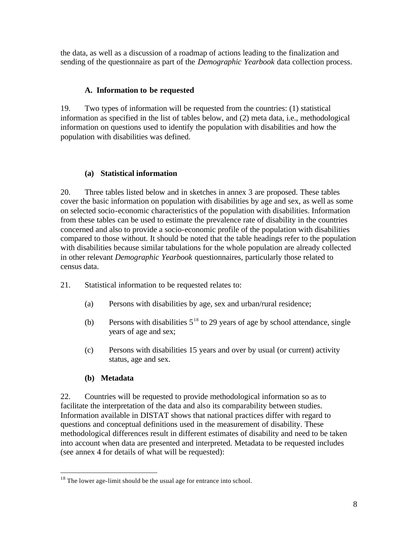the data, as well as a discussion of a roadmap of actions leading to the finalization and sending of the questionnaire as part of the *Demographic Yearbook* data collection process.

#### **A. Information to be requested**

19. Two types of information will be requested from the countries: (1) statistical information as specified in the list of tables below, and (2) meta data, i.e., methodological information on questions used to identify the population with disabilities and how the population with disabilities was defined.

#### **(a) Statistical information**

20. Three tables listed below and in sketches in annex 3 are proposed. These tables cover the basic information on population with disabilities by age and sex, as well as some on selected socio-economic characteristics of the population with disabilities. Information from these tables can be used to estimate the prevalence rate of disability in the countries concerned and also to provide a socio-economic profile of the population with disabilities compared to those without. It should be noted that the table headings refer to the population with disabilities because similar tabulations for the whole population are already collected in other relevant *Demographic Yearbook* questionnaires, particularly those related to census data.

- 21. Statistical information to be requested relates to:
	- (a) Persons with disabilities by age, sex and urban/rural residence;
	- (b) Persons with disabilities  $5^{18}$  to 29 years of age by school attendance, single years of age and sex;
	- (c) Persons with disabilities 15 years and over by usual (or current) activity status, age and sex.

### **(b) Metadata**

 $\overline{a}$ 

22. Countries will be requested to provide methodological information so as to facilitate the interpretation of the data and also its comparability between studies. Information available in DISTAT shows that national practices differ with regard to questions and conceptual definitions used in the measurement of disability. These methodological differences result in different estimates of disability and need to be taken into account when data are presented and interpreted. Metadata to be requested includes (see annex 4 for details of what will be requested):

<sup>&</sup>lt;sup>18</sup> The lower age-limit should be the usual age for entrance into school.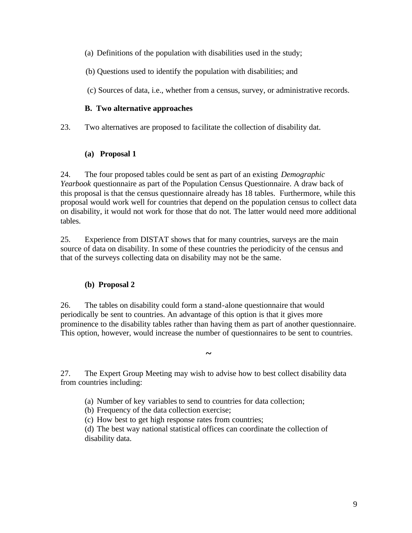- (a) Definitions of the population with disabilities used in the study;
- (b) Questions used to identify the population with disabilities; and
- (c) Sources of data, i.e., whether from a census, survey, or administrative records.

#### **B. Two alternative approaches**

23. Two alternatives are proposed to facilitate the collection of disability dat.

#### **(a) Proposal 1**

24. The four proposed tables could be sent as part of an existing *Demographic Yearbook* questionnaire as part of the Population Census Questionnaire. A draw back of this proposal is that the census questionnaire already has 18 tables. Furthermore, while this proposal would work well for countries that depend on the population census to collect data on disability, it would not work for those that do not. The latter would need more additional tables.

25. Experience from DISTAT shows that for many countries, surveys are the main source of data on disability. In some of these countries the periodicity of the census and that of the surveys collecting data on disability may not be the same.

### **(b) Proposal 2**

26. The tables on disability could form a stand-alone questionnaire that would periodically be sent to countries. An advantage of this option is that it gives more prominence to the disability tables rather than having them as part of another questionnaire. This option, however, would increase the number of questionnaires to be sent to countries.

**~** 

27. The Expert Group Meeting may wish to advise how to best collect disability data from countries including:

- (a) Number of key variables to send to countries for data collection;
- (b) Frequency of the data collection exercise;
- (c) How best to get high response rates from countries;

(d) The best way national statistical offices can coordinate the collection of disability data.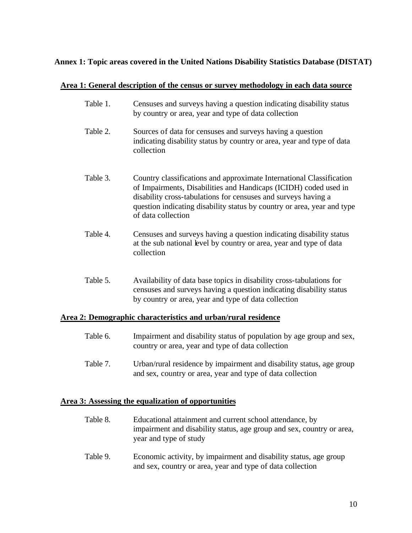#### **Annex 1: Topic areas covered in the United Nations Disability Statistics Database (DISTAT)**

#### **Area 1: General description of the census or survey methodology in each data source**

- Table 1. Censuses and surveys having a question indicating disability status by country or area, year and type of data collection
- Table 2. Sources of data for censuses and surveys having a question indicating disability status by country or area, year and type of data collection
- Table 3. Country classifications and approximate International Classification of Impairments, Disabilities and Handicaps (ICIDH) coded used in disability cross-tabulations for censuses and surveys having a question indicating disability status by country or area, year and type of data collection
- Table 4. Censuses and surveys having a question indicating disability status at the sub national level by country or area, year and type of data collection
- Table 5. Availability of data base topics in disability cross-tabulations for censuses and surveys having a question indicating disability status by country or area, year and type of data collection

#### **Area 2: Demographic characteristics and urban/rural residence**

- Table 6. Impairment and disability status of population by age group and sex, country or area, year and type of data collection
- Table 7. Urban/rural residence by impairment and disability status, age group and sex, country or area, year and type of data collection

#### **Area 3: Assessing the equalization of opportunities**

- Table 8. Educational attainment and current school attendance, by impairment and disability status, age group and sex, country or area, year and type of study
- Table 9. Economic activity, by impairment and disability status, age group and sex, country or area, year and type of data collection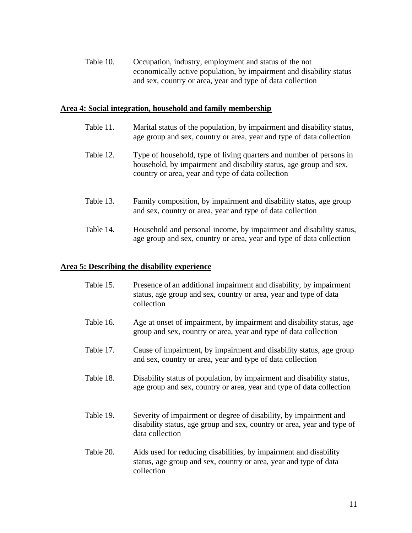Table 10. Occupation, industry, employment and status of the not economically active population, by impairment and disability status and sex, country or area, year and type of data collection

#### **Area 4: Social integration, household and family membership**

- Table 11. Marital status of the population, by impairment and disability status, age group and sex, country or area, year and type of data collection
- Table 12. Type of household, type of living quarters and number of persons in household, by impairment and disability status, age group and sex, country or area, year and type of data collection
- Table 13. Family composition, by impairment and disability status, age group and sex, country or area, year and type of data collection
- Table 14. Household and personal income, by impairment and disability status, age group and sex, country or area, year and type of data collection

#### **Area 5: Describing the disability experience**

- Table 15. Presence of an additional impairment and disability, by impairment status, age group and sex, country or area, year and type of data collection
- Table 16. Age at onset of impairment, by impairment and disability status, age group and sex, country or area, year and type of data collection
- Table 17. Cause of impairment, by impairment and disability status, age group and sex, country or area, year and type of data collection
- Table 18. Disability status of population, by impairment and disability status, age group and sex, country or area, year and type of data collection
- Table 19. Severity of impairment or degree of disability, by impairment and disability status, age group and sex, country or area, year and type of data collection
- Table 20. Aids used for reducing disabilities, by impairment and disability status, age group and sex, country or area, year and type of data collection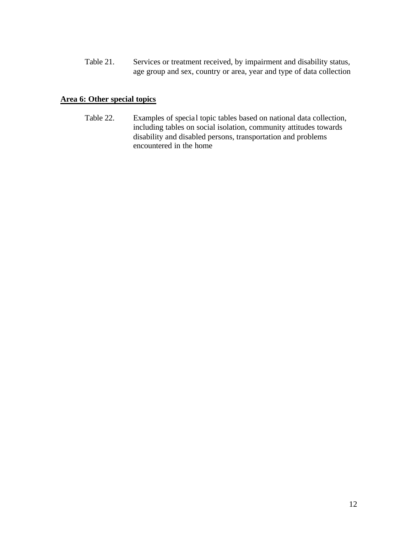Table 21. Services or treatment received, by impairment and disability status, age group and sex, country or area, year and type of data collection

#### **Area 6: Other special topics**

Table 22. Examples of special topic tables based on national data collection, including tables on social isolation, community attitudes towards disability and disabled persons, transportation and problems encountered in the home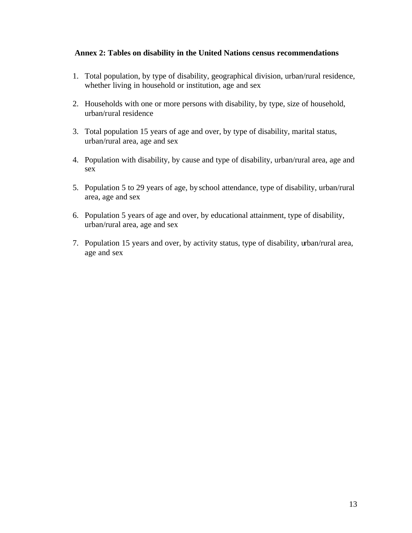#### **Annex 2: Tables on disability in the United Nations census recommendations**

- 1. Total population, by type of disability, geographical division, urban/rural residence, whether living in household or institution, age and sex
- 2. Households with one or more persons with disability, by type, size of household, urban/rural residence
- 3. Total population 15 years of age and over, by type of disability, marital status, urban/rural area, age and sex
- 4. Population with disability, by cause and type of disability, urban/rural area, age and sex
- 5. Population 5 to 29 years of age, by school attendance, type of disability, urban/rural area, age and sex
- 6. Population 5 years of age and over, by educational attainment, type of disability, urban/rural area, age and sex
- 7. Population 15 years and over, by activity status, type of disability, urban/rural area, age and sex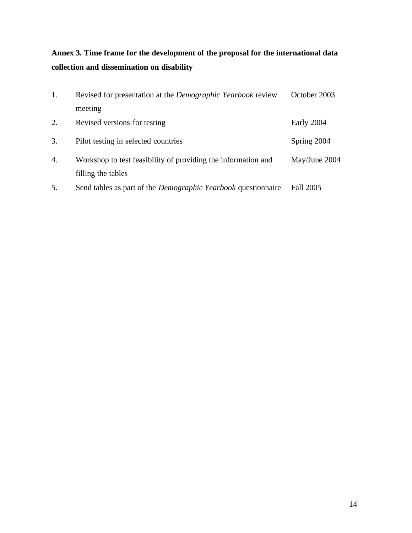# **Annex 3. Time frame for the development of the proposal for the international data collection and dissemination on disability**

| 1. | Revised for presentation at the <i>Demographic Yearbook</i> review                  | October 2003  |
|----|-------------------------------------------------------------------------------------|---------------|
|    | meeting                                                                             |               |
| 2. | Revised versions for testing                                                        | Early 2004    |
| 3. | Pilot testing in selected countries                                                 | Spring 2004   |
| 4. | Workshop to test feasibility of providing the information and<br>filling the tables | May/June 2004 |
| 5. | Send tables as part of the <i>Demographic Yearbook</i> questionnaire                | Fall 2005     |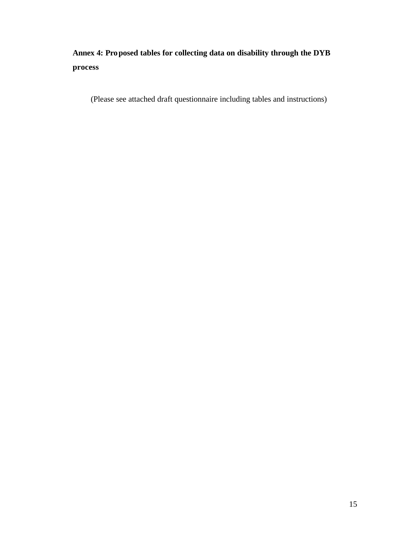## **Annex 4: Proposed tables for collecting data on disability through the DYB process**

(Please see attached draft questionnaire including tables and instructions)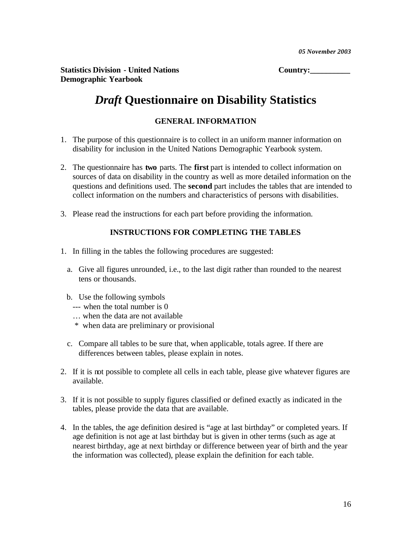Statistics Division - United Nations **Country:** Country: **Demographic Yearbook** 

# *Draft* **Questionnaire on Disability Statistics**

#### **GENERAL INFORMATION**

- 1. The purpose of this questionnaire is to collect in an uniform manner information on disability for inclusion in the United Nations Demographic Yearbook system.
- 2. The questionnaire has **two** parts. The **first** part is intended to collect information on sources of data on disability in the country as well as more detailed information on the questions and definitions used. The **second** part includes the tables that are intended to collect information on the numbers and characteristics of persons with disabilities.
- 3. Please read the instructions for each part before providing the information.

#### **INSTRUCTIONS FOR COMPLETING THE TABLES**

- 1. In filling in the tables the following procedures are suggested:
	- a. Give all figures unrounded, i.e., to the last digit rather than rounded to the nearest tens or thousands.
	- b. Use the following symbols
		- --- when the total number is 0
		- … when the data are not available
		- \* when data are preliminary or provisional
	- c. Compare all tables to be sure that, when applicable, totals agree. If there are differences between tables, please explain in notes.
- 2. If it is not possible to complete all cells in each table, please give whatever figures are available.
- 3. If it is not possible to supply figures classified or defined exactly as indicated in the tables, please provide the data that are available.
- 4. In the tables, the age definition desired is "age at last birthday" or completed years. If age definition is not age at last birthday but is given in other terms (such as age at nearest birthday, age at next birthday or difference between year of birth and the year the information was collected), please explain the definition for each table.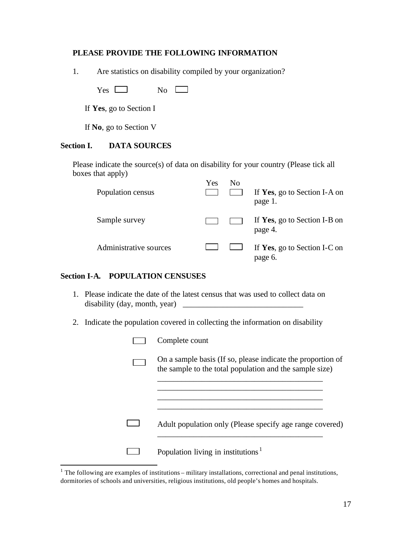#### **PLEASE PROVIDE THE FOLLOWING INFORMATION**

1. Are statistics on disability compiled by your organization?

 $Yes \Box$  No  $\Box$ 

If **Yes**, go to Section I

If **No**, go to Section V

#### **Section I. DATA SOURCES**

Please indicate the source(s) of data on disability for your country (Please tick all boxes that apply)

| Population census      | Yes | Nο | If Yes, go to Section I-A on<br>page 1. |
|------------------------|-----|----|-----------------------------------------|
| Sample survey          |     |    | If Yes, go to Section I-B on<br>page 4. |
| Administrative sources |     |    | If Yes, go to Section I-C on<br>page 6. |

#### **Section I-A. POPULATION CENSUSES**

- 1. Please indicate the date of the latest census that was used to collect data on disability (day, month, year)  $\Box$
- 2. Indicate the population covered in collecting the information on disability

| Complete count                                                                                                         |
|------------------------------------------------------------------------------------------------------------------------|
| On a sample basis (If so, please indicate the proportion of<br>the sample to the total population and the sample size) |
|                                                                                                                        |
| Adult population only (Please specify age range covered)                                                               |
| Population living in institutions <sup><math>1</math></sup>                                                            |

<sup>&</sup>lt;sup>1</sup> The following are examples of institutions – military installations, correctional and penal institutions, dormitories of schools and universities, religious institutions, old people's homes and hospitals.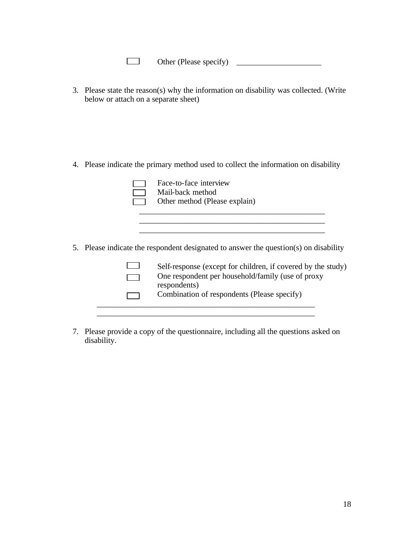| Other (Please specify) |  |
|------------------------|--|
|------------------------|--|

3. Please state the reason(s) why the information on disability was collected. (Write below or attach on a separate sheet)

4. Please indicate the primary method used to collect the information on disability

|  | Face-to-face interview<br>Mail-back method<br>Other method (Please explain)                                                                                                                               |
|--|-----------------------------------------------------------------------------------------------------------------------------------------------------------------------------------------------------------|
|  | 5. Please indicate the respondent designated to answer the question(s) on disability<br>Self-response (except for children, if covered by the study)<br>One respondent per household/family (use of proxy |
|  | respondents)<br>Combination of respondents (Please specify)                                                                                                                                               |

7. Please provide a copy of the questionnaire, including all the questions asked on disability.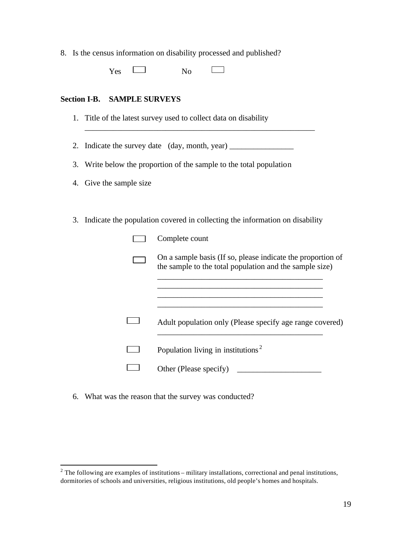8. Is the census information on disability processed and published?

Yes No Г  $\overline{\phantom{0}}$ 

#### **Section I-B. SAMPLE SURVEYS**

1. Title of the latest survey used to collect data on disability

2. Indicate the survey date (day, month, year)

\_\_\_\_\_\_\_\_\_\_\_\_\_\_\_\_\_\_\_\_\_\_\_\_\_\_\_\_\_\_\_\_\_\_\_\_\_\_\_\_\_\_\_\_\_\_\_\_\_\_\_\_\_\_\_\_\_

- 3. Write below the proportion of the sample to the total population
- 4. Give the sample size
- 3. Indicate the population covered in collecting the information on disability

| Complete count                                                                                                         |
|------------------------------------------------------------------------------------------------------------------------|
| On a sample basis (If so, please indicate the proportion of<br>the sample to the total population and the sample size) |
|                                                                                                                        |
| Adult population only (Please specify age range covered)                                                               |
| Population living in institutions <sup>2</sup>                                                                         |
| Other (Please specify)                                                                                                 |

6. What was the reason that the survey was conducted?

<sup>&</sup>lt;sup>2</sup> The following are examples of institutions – military installations, correctional and penal institutions, dormitories of schools and universities, religious institutions, old people's homes and hospitals.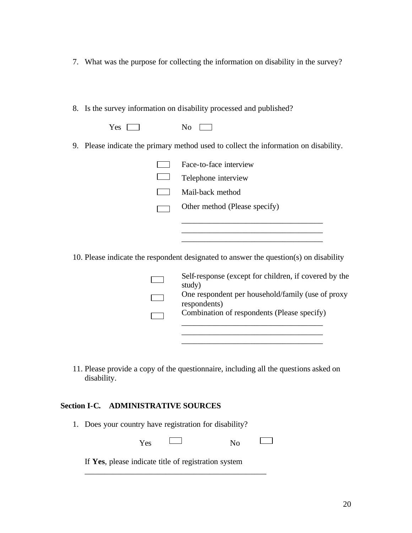- 7. What was the purpose for collecting the information on disability in the survey?
- 8. Is the survey information on disability processed and published?

| $Yes \Box$ | $\overline{N_0}$ |  |
|------------|------------------|--|
|            |                  |  |

9. Please indicate the primary method used to collect the information on disability.

| Face-to-face interview        |
|-------------------------------|
| Telephone interview           |
| Mail-back method              |
| Other method (Please specify) |
|                               |

10. Please indicate the respondent designated to answer the question(s) on disability

| Self-response (except for children, if covered by the |
|-------------------------------------------------------|
| study)                                                |
| One respondent per household/family (use of proxy     |
| respondents)                                          |
| Combination of respondents (Please specify)           |

\_\_\_\_\_\_\_\_\_\_\_\_\_\_\_\_\_\_\_\_\_\_\_\_\_\_\_\_\_\_\_\_\_\_\_

 $\Box$ 

\_\_\_\_\_\_\_\_\_\_\_\_\_\_\_\_\_\_\_\_\_\_\_\_\_\_\_\_\_\_\_\_\_\_\_ \_\_\_\_\_\_\_\_\_\_\_\_\_\_\_\_\_\_\_\_\_\_\_\_\_\_\_\_\_\_\_\_\_\_\_

11. Please provide a copy of the questionnaire, including all the questions asked on disability.

#### **Section I-C. ADMINISTRATIVE SOURCES**

1. Does your country have registration for disability?

Yes No

If **Yes**, please indicate title of registration system

\_\_\_\_\_\_\_\_\_\_\_\_\_\_\_\_\_\_\_\_\_\_\_\_\_\_\_\_\_\_\_\_\_\_\_\_\_\_\_\_\_\_\_\_\_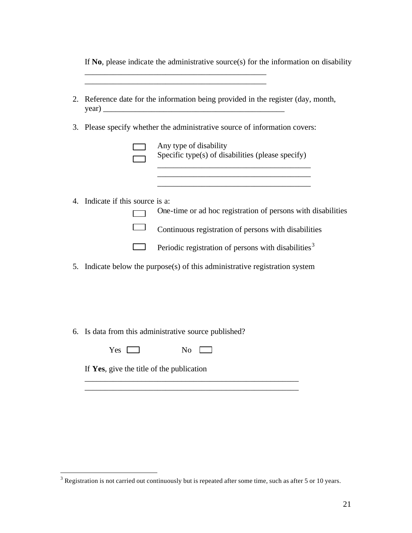If **No**, please indicate the administrative source(s) for the information on disability

\_\_\_\_\_\_\_\_\_\_\_\_\_\_\_\_\_\_\_\_\_\_\_\_\_\_\_\_\_\_\_\_\_\_\_\_\_\_\_\_\_\_\_\_\_

| 2. |                                           | Reference date for the information being provided in the register (day, month, |
|----|-------------------------------------------|--------------------------------------------------------------------------------|
|    |                                           | 3. Please specify whether the administrative source of information covers:     |
|    |                                           | Any type of disability<br>Specific type(s) of disabilities (please specify)    |
|    |                                           |                                                                                |
|    | 4. Indicate if this source is a:          | One-time or ad hoc registration of persons with disabilities                   |
|    |                                           | Continuous registration of persons with disabilities                           |
|    |                                           | Periodic registration of persons with disabilities <sup>3</sup>                |
| 5. |                                           | Indicate below the purpose(s) of this administrative registration system       |
|    |                                           |                                                                                |
|    |                                           |                                                                                |
|    |                                           |                                                                                |
|    |                                           | 6. Is data from this administrative source published?                          |
|    | $Yes \Box$                                | No.                                                                            |
|    | If Yes, give the title of the publication |                                                                                |
|    |                                           |                                                                                |

<sup>&</sup>lt;sup>3</sup> Registration is not carried out continuously but is repeated after some time, such as after 5 or 10 years.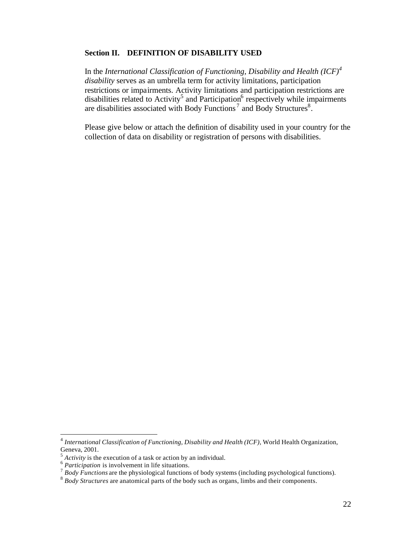#### **Section II. DEFINITION OF DISABILITY USED**

In the *International Classification of Functioning, Disability and Health (ICF)<sup>4</sup> disability* serves as an umbrella term for activity limitations, participation restrictions or impairments. Activity limitations and participation restrictions are disabilities related to Activity<sup>5</sup> and Participation<sup>6</sup> respectively while impairments are disabilities associated with Body Functions<sup>7</sup> and Body Structures<sup>8</sup>.

Please give below or attach the definition of disability used in your country for the collection of data on disability or registration of persons with disabilities.

 4 *International Classification of Functioning, Disability and Health (ICF),* World Health Organization, Geneva, 2001.

<sup>&</sup>lt;sup>5</sup> Activity is the execution of a task or action by an individual.<br><sup>6</sup> Participation is involvement in life situations.

<sup>&</sup>lt;sup>7</sup> Body Functions are the physiological functions of body systems (including psychological functions).

<sup>8</sup> *Body Structures* are anatomical parts of the body such as organs, limbs and their components.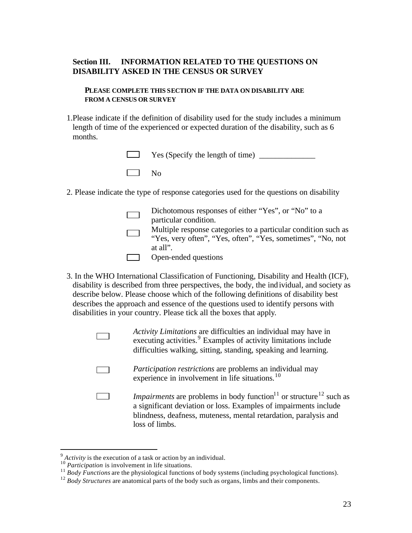#### **Section III. INFORMATION RELATED TO THE QUESTIONS ON DISABILITY ASKED IN THE CENSUS OR SURVEY**

**PLEASE COMPLETE THIS SECTION IF THE DATA ON DISABILITY ARE FROM A CENSUS OR SURVEY**

1.Please indicate if the definition of disability used for the study includes a minimum length of time of the experienced or expected duration of the disability, such as 6 months.

|           | $\Box$ Yes (Specify the length of time) $\Box$ |
|-----------|------------------------------------------------|
| $\Box$ No |                                                |

2. Please indicate the type of response categories used for the questions on disability

| Dichotomous responses of either "Yes", or "No" to a<br>particular condition.                                                  |
|-------------------------------------------------------------------------------------------------------------------------------|
| Multiple response categories to a particular condition such as<br>"Yes, very often", "Yes, often", "Yes, sometimes", "No, not |
| at all".                                                                                                                      |
| Open-ended questions                                                                                                          |

- 3. In the WHO International Classification of Functioning, Disability and Health (ICF), disability is described from three perspectives, the body, the individual, and society as describe below. Please choose which of the following definitions of disability best describes the approach and essence of the questions used to identify persons with disabilities in your country. Please tick all the boxes that apply.
	- *Activity Limitations* are difficulties an individual may have in executing activities.<sup>9</sup> Examples of activity limitations include difficulties walking, sitting, standing, speaking and learning.
	- *Participation restrictions* are problems an individual may experience in involvement in life situations. $10$
	- *Impairments* are problems in body function<sup>11</sup> or structure<sup>12</sup> such as  $\Box$ a significant deviation or loss. Examples of impairments include blindness, deafness, muteness, mental retardation, paralysis and loss of limbs.

<sup>&</sup>lt;sup>9</sup> Activity is the execution of a task or action by an individual.

<sup>&</sup>lt;sup>10</sup> Participation is involvement in life situations.

<sup>&</sup>lt;sup>11</sup> *Body Functions* are the physiological functions of body systems (including psychological functions).

<sup>&</sup>lt;sup>12</sup> *Body Structures* are anatomical parts of the body such as organs, limbs and their components.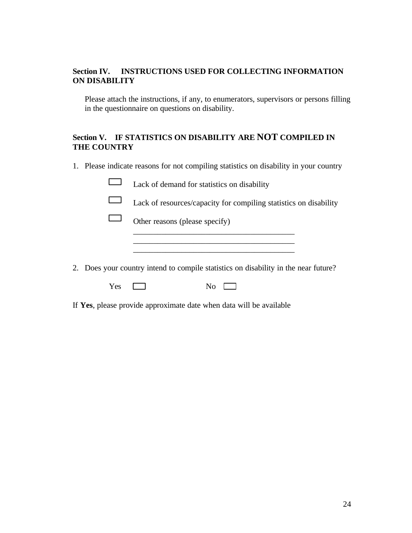#### **Section IV. INSTRUCTIONS USED FOR COLLECTING INFORMATION ON DISABILITY**

Please attach the instructions, if any, to enumerators, supervisors or persons filling in the questionnaire on questions on disability.

#### **Section V. IF STATISTICS ON DISABILITY ARE NOT COMPILED IN THE COUNTRY**

1. Please indicate reasons for not compiling statistics on disability in your country

|     | Lack of demand for statistics on disability                                         |
|-----|-------------------------------------------------------------------------------------|
|     | Lack of resources/capacity for compiling statistics on disability                   |
|     | Other reasons (please specify)                                                      |
|     |                                                                                     |
|     |                                                                                     |
|     | 2. Does your country intend to compile statistics on disability in the near future? |
| Yes | N0                                                                                  |

If **Yes**, please provide approximate date when data will be available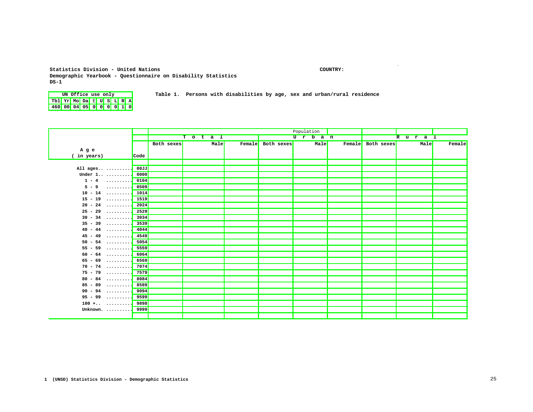#### **Statistics Division - United Nations COUNTRY: Demographic Yearbook - Questionnaire on Disability Statistics DS-1**

**.**

**UN Office use only Table 1. Persons with disabilities by age, sex and urban/rural residence Tbl Yr Mo Da** E **U S L R A 460 00 04 05 0 0 0 0 1 0**

|                              |      |            |        |      |                   | Population |       |        |            |        |        |
|------------------------------|------|------------|--------|------|-------------------|------------|-------|--------|------------|--------|--------|
|                              |      |            | To tal |      |                   |            | Urban |        |            | Rura 1 |        |
|                              |      | Both sexes |        | Male | Female Both sexes |            | Male  | Female | Both sexes | Male   | Female |
| Age                          |      |            |        |      |                   |            |       |        |            |        |        |
| ( in years)                  | Code |            |        |      |                   |            |       |        |            |        |        |
|                              |      |            |        |      |                   |            |       |        |            |        |        |
| All ages                     | 00JJ |            |        |      |                   |            |       |        |            |        |        |
| Under $1.0.0001$             | 0000 |            |        |      |                   |            |       |        |            |        |        |
| $1 - 4$                      | 0104 |            |        |      |                   |            |       |        |            |        |        |
| $5 - 9$<br>. 1               | 0509 |            |        |      |                   |            |       |        |            |        |        |
| $10 - 14$                    | 1014 |            |        |      |                   |            |       |        |            |        |        |
| $15 - 19$                    | 1519 |            |        |      |                   |            |       |        |            |        |        |
| $20 - 24$<br>.               | 2024 |            |        |      |                   |            |       |        |            |        |        |
| $25 - 29$                    | 2529 |            |        |      |                   |            |       |        |            |        |        |
| $30 - 34$                    | 3034 |            |        |      |                   |            |       |        |            |        |        |
| $35 - 39$ 3539               |      |            |        |      |                   |            |       |        |            |        |        |
| $40 - 44$                    | 4044 |            |        |      |                   |            |       |        |            |        |        |
| $45 - 49$                    | 4549 |            |        |      |                   |            |       |        |            |        |        |
| $54 \ldots \ldots$<br>$50 -$ | 5054 |            |        |      |                   |            |       |        |            |        |        |
| $55 - 59$                    | 5559 |            |        |      |                   |            |       |        |            |        |        |
| $60 - 64$                    | 6064 |            |        |      |                   |            |       |        |            |        |        |
| $65 - 69$                    | 6569 |            |        |      |                   |            |       |        |            |        |        |
| $70 - 74$                    | 7074 |            |        |      |                   |            |       |        |            |        |        |
| $75 - 79$                    | 7579 |            |        |      |                   |            |       |        |            |        |        |
| $80 - 84$                    | 8084 |            |        |      |                   |            |       |        |            |        |        |
| $85 - 89$                    | 8589 |            |        |      |                   |            |       |        |            |        |        |
| $90 - 94$                    | 9094 |            |        |      |                   |            |       |        |            |        |        |
| $95 - 99$                    | 9599 |            |        |      |                   |            |       |        |            |        |        |
| $100 + \ldots$ 9898          |      |            |        |      |                   |            |       |        |            |        |        |
| Unknown. $\dots\dots\dots$   | 9999 |            |        |      |                   |            |       |        |            |        |        |
|                              |      |            |        |      |                   |            |       |        |            |        |        |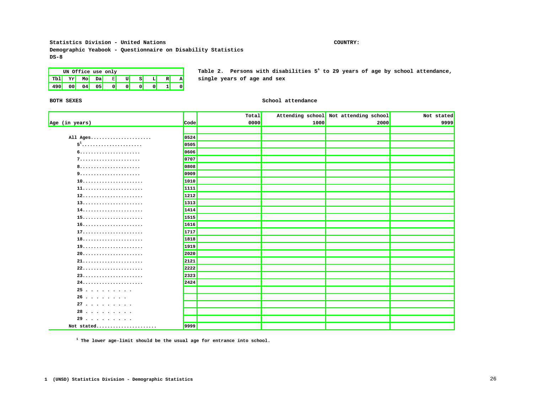**Statistics Division - United Nations COUNTRY: Demographic Yeabook - Questionnaire on Disability Statistics DS-8**

## **Tbl Yr Mo Da** E **U S L R A single years of age and sex 490 00 04 05 0 0 0 0 1 0**

**UN Office use only Table 2. Persons with disabilities 5<sup>1</sup> to 29 years of age by school attendance,** 

#### **BOTH SEXES** School attendance

|                |      | Total |      | Attending school Not attending school | Not stated |
|----------------|------|-------|------|---------------------------------------|------------|
| Age (in years) | Code | 0000  | 1000 | 2000                                  | 9999       |
|                |      |       |      |                                       |            |
| All Ages       | 0524 |       |      |                                       |            |
| $51$           | 0505 |       |      |                                       |            |
|                | 0606 |       |      |                                       |            |
|                | 0707 |       |      |                                       |            |
|                | 0808 |       |      |                                       |            |
|                | 0909 |       |      |                                       |            |
| 10             | 1010 |       |      |                                       |            |
|                | 1111 |       |      |                                       |            |
|                | 1212 |       |      |                                       |            |
|                | 1313 |       |      |                                       |            |
|                | 1414 |       |      |                                       |            |
|                | 1515 |       |      |                                       |            |
|                | 1616 |       |      |                                       |            |
|                | 1717 |       |      |                                       |            |
| 18             | 1818 |       |      |                                       |            |
|                | 1919 |       |      |                                       |            |
| 20             | 2020 |       |      |                                       |            |
|                | 2121 |       |      |                                       |            |
|                | 2222 |       |      |                                       |            |
|                | 2323 |       |      |                                       |            |
|                | 2424 |       |      |                                       |            |
| 25             |      |       |      |                                       |            |
| 26             |      |       |      |                                       |            |
| 27             |      |       |      |                                       |            |
| 28             |      |       |      |                                       |            |
| 29             |      |       |      |                                       |            |
| Not stated     | 9999 |       |      |                                       |            |

**1 The lower age-limit should be the usual age for entrance into school.**